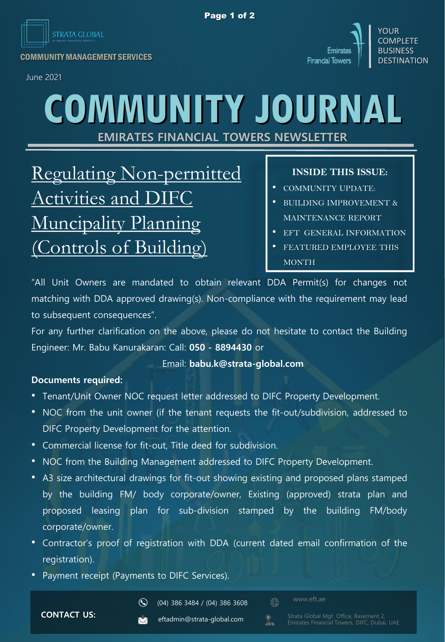

Emirates  $\begin{array}{c|c|c|c} \hline \multicolumn{3}{c|}{\text{Emirates}} & \multicolumn{3}{c|}{\text{BUSINES}} \ \hline \multicolumn{3}{c|}{\text{COMMUNITY}~\text{MANAGEMENT}~\text{SERVICES}} & \multicolumn{3}{c|}{\text{BUSINESS}} \ \hline \end{array} \begin{array}{c|c|c} \hline \multicolumn{3}{c|}{\text{Emirates}} & \multicolumn{3}{c|}{\text{Emirates}} \ \hline \multicolumn{3}{c|}{\text{BUSINESS}} \ \hline \end{array}$ 

June 2021



**EMIRATES FINANCIAL TOWERS NEWSLETTER**

Regulating Non-permitted Activities and DIFC Muncipality Planning Controls of Building)

## **INSIDE THIS ISSUE:**

YOLIR **COMPLETE** BUSINESS

- COMMUNITY UPDATE:
- BUILDING IMPROVEMENT & MAINTENANCE REPORT
- EFT GENERAL INFORMATION
- FEATURED EMPLOYEE THIS MONTH

"All Unit Owners are mandated to obtain relevant DDA Permit(s) for changes not matching with DDA approved drawing(s). Non-compliance with the requirement may lead to subsequent consequences".

For any further clarification on the above, please do not hesitate to contact the Building Engineer: Mr. Babu Kanurakaran: Call: **050 - 8894430** or

### Email: **babu.k@strata-global.com**

### **Documents required:**

- Tenant/Unit Owner NOC request letter addressed to DIFC Property Development.
- NOC from the unit owner (if the tenant requests the fit-out/subdivision, addressed to DIFC Property Development for the attention.
- Commercial license for fit-out, Title deed for subdivision.
- NOC from the Building Management addressed to DIFC Property Development.
- A3 size architectural drawings for fit-out showing existing and proposed plans stamped by the building FM/ body corporate/owner, Existing (approved) strata plan and proposed leasing plan for sub-division stamped by the building FM/body corporate/owner.
- Contractor's proof of registration with DDA (current dated email confirmation of the registration).
- Payment receipt (Payments to DIFC Services).

 $\mathbf{Q}$ 

 $\bigoplus$ 

 $\sum_{i=1}^{\infty}$ 

**CONTACT US:**

eftadmin@strata-global.com  $\overline{\mathbf{M}}$ 

(04) 386 3484 / (04) 386 3608

www.eft.ae

Emirates Financial Towers, DIFC, Dubai, UAE